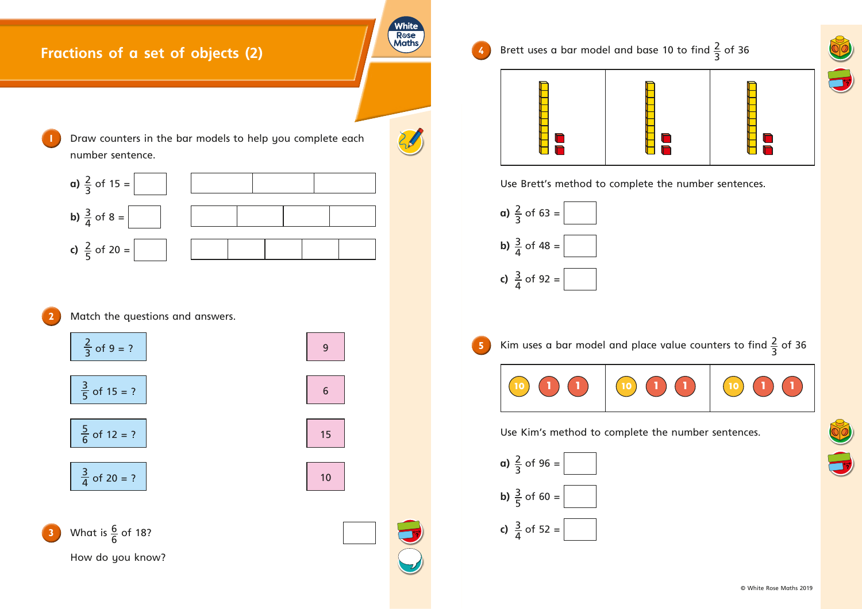## **Fractions of a set of objects (2)**



White R**ose**<br>Maths

**4** Brett uses a bar model and base 10 to find  $\frac{2}{5}$